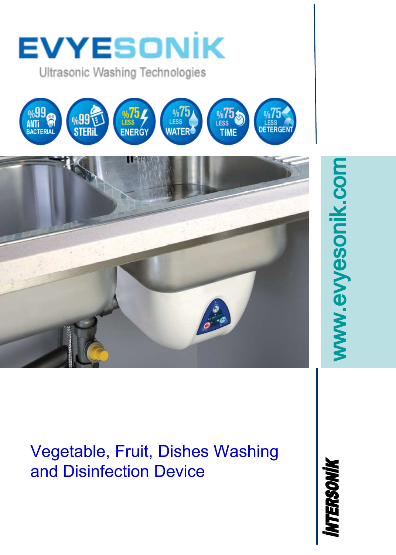

Vegetable, Fruit, Dishes Washing and Disinfection Device

NTERSONIK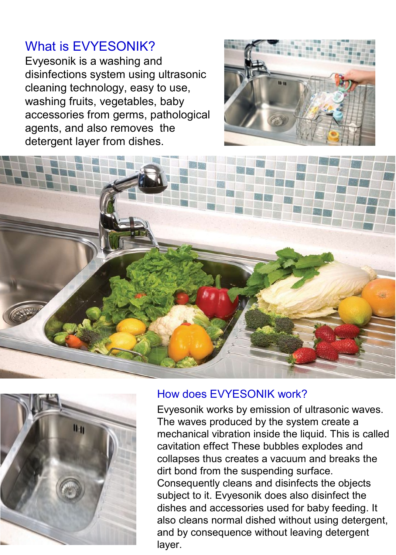### What is EVYESONIK?

Evyesonik is a washing and disinfections system using ultrasonic cleaning technology, easy to use, washing fruits, vegetables, baby accessories from germs, pathological agents, and also removes the detergent layer from dishes.







#### How does EVYESONIK work?

Evyesonik works by emission of ultrasonic waves. The waves produced by the system create a mechanical vibration inside the liquid. This is called cavitation effect These bubbles explodes and collapses thus creates a vacuum and breaks the dirt bond from the suspending surface. Consequently cleans and disinfects the objects subject to it. Evyesonik does also disinfect the dishes and accessories used for baby feeding. It also cleans normal dished without using detergent, and by consequence without leaving detergent layer.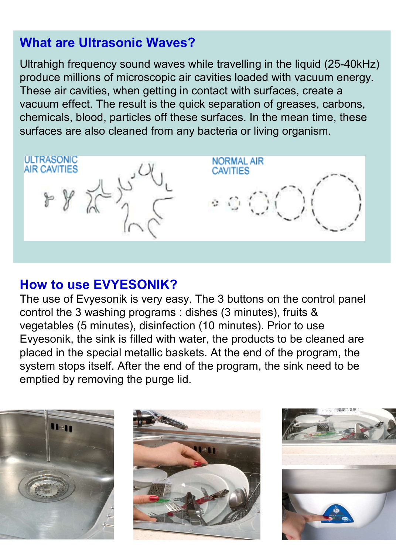# **What are Ultrasonic Waves?**

Ultrahigh frequency sound waves while travelling in the liquid (25-40kHz) produce millions of microscopic air cavities loaded with vacuum energy. These air cavities, when getting in contact with surfaces, create a vacuum effect. The result is the quick separation of greases, carbons, chemicals, blood, particles off these surfaces. In the mean time, these surfaces are also cleaned from any bacteria or living organism.



## **How to use EVYESONIK?**

The use of Evyesonik is very easy. The 3 buttons on the control panel control the 3 washing programs : dishes (3 minutes), fruits & vegetables (5 minutes), disinfection (10 minutes). Prior to use Evyesonik, the sink is filled with water, the products to be cleaned are placed in the special metallic baskets. At the end of the program, the system stops itself. After the end of the program, the sink need to be emptied by removing the purge lid.